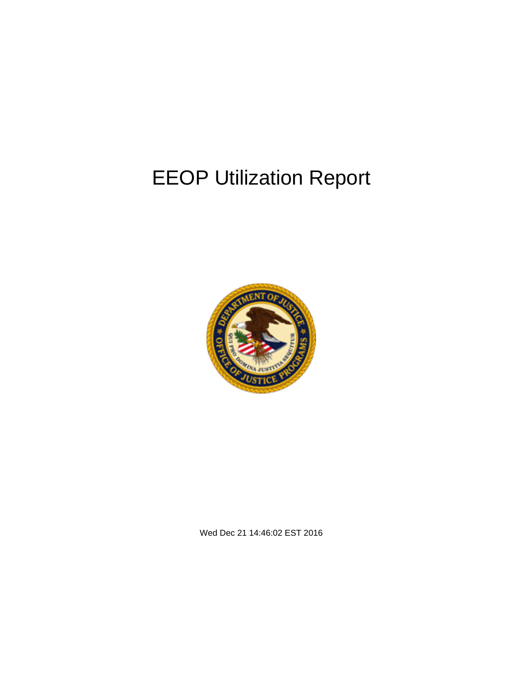# EEOP Utilization Report



Wed Dec 21 14:46:02 EST 2016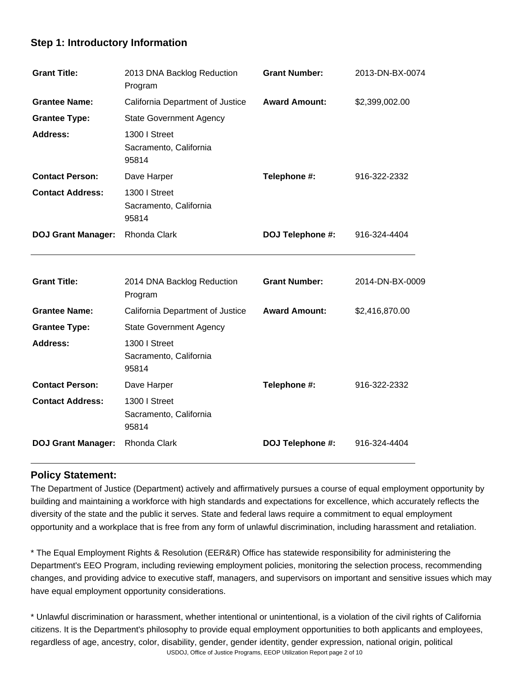## **Step 1: Introductory Information**

| <b>Grant Title:</b>       | 2013 DNA Backlog Reduction<br>Program            | <b>Grant Number:</b> | 2013-DN-BX-0074 |
|---------------------------|--------------------------------------------------|----------------------|-----------------|
| <b>Grantee Name:</b>      | California Department of Justice                 | <b>Award Amount:</b> | \$2,399,002.00  |
| <b>Grantee Type:</b>      | <b>State Government Agency</b>                   |                      |                 |
| <b>Address:</b>           | 1300   Street<br>Sacramento, California<br>95814 |                      |                 |
| <b>Contact Person:</b>    | Dave Harper                                      | Telephone #:         | 916-322-2332    |
| <b>Contact Address:</b>   | 1300 I Street<br>Sacramento, California<br>95814 |                      |                 |
| <b>DOJ Grant Manager:</b> | Rhonda Clark                                     | DOJ Telephone #:     | 916-324-4404    |
|                           |                                                  |                      |                 |
| <b>Grant Title:</b>       | 2014 DNA Backlog Reduction<br>Program            | <b>Grant Number:</b> | 2014-DN-BX-0009 |
| <b>Grantee Name:</b>      | California Department of Justice                 | <b>Award Amount:</b> | \$2,416,870.00  |
| <b>Grantee Type:</b>      | <b>State Government Agency</b>                   |                      |                 |
| <b>Address:</b>           | 1300   Street<br>Sacramento, California<br>95814 |                      |                 |
|                           |                                                  |                      |                 |
| <b>Contact Person:</b>    | Dave Harper                                      | Telephone #:         | 916-322-2332    |
| <b>Contact Address:</b>   | 1300 I Street<br>Sacramento, California<br>95814 |                      |                 |

## **Policy Statement:**

 $\overline{a}$ 

The Department of Justice (Department) actively and affirmatively pursues a course of equal employment opportunity by building and maintaining a workforce with high standards and expectations for excellence, which accurately reflects the diversity of the state and the public it serves. State and federal laws require a commitment to equal employment opportunity and a workplace that is free from any form of unlawful discrimination, including harassment and retaliation.

\* The Equal Employment Rights & Resolution (EER&R) Office has statewide responsibility for administering the Department's EEO Program, including reviewing employment policies, monitoring the selection process, recommending changes, and providing advice to executive staff, managers, and supervisors on important and sensitive issues which may have equal employment opportunity considerations.

USDOJ, Office of Justice Programs, EEOP Utilization Report page 2 of 10\* Unlawful discrimination or harassment, whether intentional or unintentional, is a violation of the civil rights of California citizens. It is the Department's philosophy to provide equal employment opportunities to both applicants and employees, regardless of age, ancestry, color, disability, gender, gender identity, gender expression, national origin, political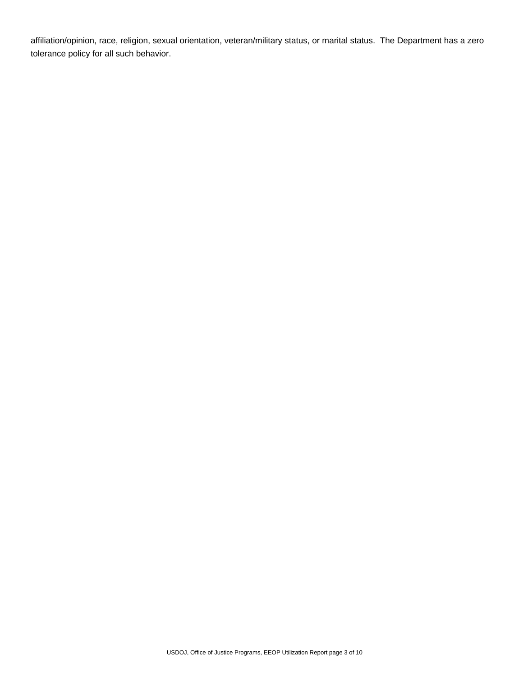affiliation/opinion, race, religion, sexual orientation, veteran/military status, or marital status. The Department has a zero tolerance policy for all such behavior.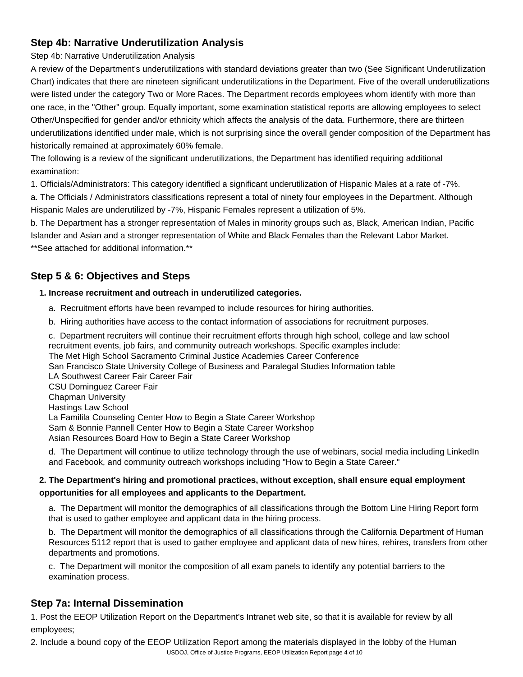## **Step 4b: Narrative Underutilization Analysis**

Step 4b: Narrative Underutilization Analysis

A review of the Department's underutilizations with standard deviations greater than two (See Significant Underutilization Chart) indicates that there are nineteen significant underutilizations in the Department. Five of the overall underutilizations were listed under the category Two or More Races. The Department records employees whom identify with more than one race, in the "Other" group. Equally important, some examination statistical reports are allowing employees to select Other/Unspecified for gender and/or ethnicity which affects the analysis of the data. Furthermore, there are thirteen underutilizations identified under male, which is not surprising since the overall gender composition of the Department has historically remained at approximately 60% female.

The following is a review of the significant underutilizations, the Department has identified requiring additional examination:

1. Officials/Administrators: This category identified a significant underutilization of Hispanic Males at a rate of -7%.

a. The Officials / Administrators classifications represent a total of ninety four employees in the Department. Although Hispanic Males are underutilized by -7%, Hispanic Females represent a utilization of 5%.

b. The Department has a stronger representation of Males in minority groups such as, Black, American Indian, Pacific Islander and Asian and a stronger representation of White and Black Females than the Relevant Labor Market. \*\*See attached for additional information.\*\*

# **Step 5 & 6: Objectives and Steps**

#### **1. Increase recruitment and outreach in underutilized categories.**

- a. Recruitment efforts have been revamped to include resources for hiring authorities.
- b. Hiring authorities have access to the contact information of associations for recruitment purposes.
- c. Department recruiters will continue their recruitment efforts through high school, college and law school recruitment events, job fairs, and community outreach workshops. Specific examples include: The Met High School Sacramento Criminal Justice Academies Career Conference San Francisco State University College of Business and Paralegal Studies Information table LA Southwest Career Fair Career Fair CSU Dominguez Career Fair Chapman University Hastings Law School La Familila Counseling Center How to Begin a State Career Workshop Sam & Bonnie Pannell Center How to Begin a State Career Workshop Asian Resources Board How to Begin a State Career Workshop

d. The Department will continue to utilize technology through the use of webinars, social media including LinkedIn and Facebook, and community outreach workshops including "How to Begin a State Career."

### **2. The Department's hiring and promotional practices, without exception, shall ensure equal employment opportunities for all employees and applicants to the Department.**

a. The Department will monitor the demographics of all classifications through the Bottom Line Hiring Report form that is used to gather employee and applicant data in the hiring process.

b. The Department will monitor the demographics of all classifications through the California Department of Human Resources 5112 report that is used to gather employee and applicant data of new hires, rehires, transfers from other departments and promotions.

c. The Department will monitor the composition of all exam panels to identify any potential barriers to the examination process.

## **Step 7a: Internal Dissemination**

1. Post the EEOP Utilization Report on the Department's Intranet web site, so that it is available for review by all employees;

USDOJ, Office of Justice Programs, EEOP Utilization Report page 4 of 102. Include a bound copy of the EEOP Utilization Report among the materials displayed in the lobby of the Human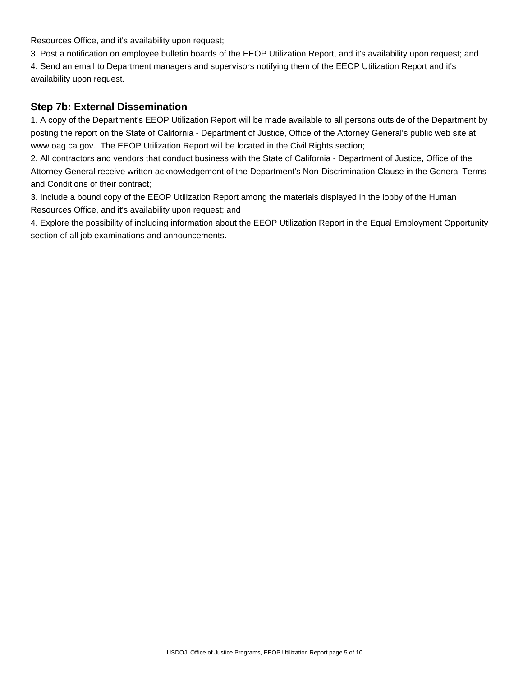Resources Office, and it's availability upon request;

3. Post a notification on employee bulletin boards of the EEOP Utilization Report, and it's availability upon request; and 4. Send an email to Department managers and supervisors notifying them of the EEOP Utilization Report and it's availability upon request.

## **Step 7b: External Dissemination**

1. A copy of the Department's EEOP Utilization Report will be made available to all persons outside of the Department by posting the report on the State of California - Department of Justice, Office of the Attorney General's public web site at www.oag.ca.gov. The EEOP Utilization Report will be located in the Civil Rights section;

2. All contractors and vendors that conduct business with the State of California - Department of Justice, Office of the Attorney General receive written acknowledgement of the Department's Non-Discrimination Clause in the General Terms and Conditions of their contract;

3. Include a bound copy of the EEOP Utilization Report among the materials displayed in the lobby of the Human Resources Office, and it's availability upon request; and

4. Explore the possibility of including information about the EEOP Utilization Report in the Equal Employment Opportunity section of all job examinations and announcements.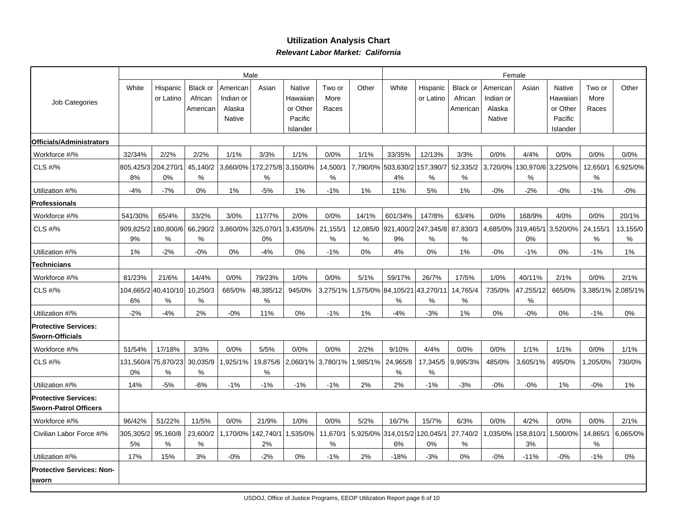### **Utilization Analysis Chart Relevant Labor Market: California**

|                                                             | Male<br>Female  |                          |                            |                       |                             |                           |                  |          |                                    |                       |                     |                       |                     |                           |                  |          |
|-------------------------------------------------------------|-----------------|--------------------------|----------------------------|-----------------------|-----------------------------|---------------------------|------------------|----------|------------------------------------|-----------------------|---------------------|-----------------------|---------------------|---------------------------|------------------|----------|
| Job Categories                                              | White           | Hispanic<br>or Latino    | <b>Black or</b><br>African | American<br>Indian or | Asian                       | <b>Native</b><br>Hawaiian | Two or<br>More   | Other    | White                              | Hispanic<br>or Latino | Black or<br>African | American<br>Indian or | Asian               | <b>Native</b><br>Hawaiian | Two or<br>More   | Other    |
|                                                             |                 |                          | American                   | Alaska                |                             | or Other                  | Races            |          |                                    |                       | American            | Alaska                |                     | or Other                  | Races            |          |
|                                                             |                 |                          |                            | Native                |                             | Pacific<br>Islander       |                  |          |                                    |                       |                     | Native                |                     | Pacific<br>Islander       |                  |          |
| Officials/Administrators                                    |                 |                          |                            |                       |                             |                           |                  |          |                                    |                       |                     |                       |                     |                           |                  |          |
| Workforce #/%                                               | 32/34%          | 2/2%                     | 2/2%                       | 1/1%                  | 3/3%                        | 1/1%                      | 0/0%             | 1/1%     | 33/35%                             | 12/13%                | 3/3%                | 0/0%                  | 4/4%                | 0/0%                      | 0/0%             | 0/0%     |
| CLS #/%                                                     |                 | 805,425/3 204,270/1      | 45,140/2                   |                       | 3,660/0% 172,275/8 3,150/0% |                           | 14,500/1         |          | 7,790/0% 503,630/2 157,390/7       |                       | 52,335/2            | 3,720/0%              | 130,970/6 3,225/0%  |                           | 12,650/1         | 6,925/0% |
|                                                             | 8%              | 0%                       | $\%$                       |                       | $\%$                        |                           | $\%$             |          | 4%                                 | $\%$                  | %                   |                       | %                   |                           | $\%$             |          |
| Utilization #/%                                             | $-4%$           | $-7%$                    | 0%                         | 1%                    | $-5%$                       | 1%                        | $-1%$            | 1%       | 11%                                | 5%                    | 1%                  | $-0\%$                | $-2%$               | $-0\%$                    | $-1%$            | $-0\%$   |
| <b>Professionals</b>                                        |                 |                          |                            |                       |                             |                           |                  |          |                                    |                       |                     |                       |                     |                           |                  |          |
| Workforce #/%                                               | 541/30%         | 65/4%                    | 33/2%                      | 3/0%                  | 117/7%                      | 2/0%                      | 0/0%             | 14/1%    | 601/34%                            | 147/8%                | 63/4%               | 0/0%                  | 168/9%              | 4/0%                      | 0/0%             | 20/1%    |
| <b>CLS #/%</b>                                              | 909,825/2       | 180,800/6                | 66,290/2                   |                       | 3,860/0% 325,070/1          | 3,435/0%                  | 21,155/1         | 12,085/0 | 921,400/2 247,345/8                |                       | 87,830/3            |                       | 4,685/0%  319,465/1 | 3,520/0%                  | 24,155/1         | 13,155/0 |
|                                                             | 9%              | %                        | %                          |                       | 0%                          |                           | $\%$             | %        | 9%                                 | %                     | %                   |                       | 0%                  |                           | %                | %        |
| Utilization #/%                                             | 1%              | $-2%$                    | $-0%$                      | 0%                    | $-4%$                       | 0%                        | $-1%$            | 0%       | 4%                                 | 0%                    | 1%                  | $-0\%$                | $-1%$               | 0%                        | $-1%$            | $1\%$    |
| <b>Technicians</b>                                          |                 |                          |                            |                       |                             |                           |                  |          |                                    |                       |                     |                       |                     |                           |                  |          |
| Workforce #/%                                               | 81/23%          | 21/6%                    | 14/4%                      | 0/0%                  | 79/23%                      | 1/0%                      | 0/0%             | 5/1%     | 59/17%                             | 26/7%                 | 17/5%               | 1/0%                  | 40/11%              | 2/1%                      | 0/0%             | 2/1%     |
| <b>CLS #/%</b>                                              | 6%              | 104,665/2 40,410/10<br>% | 10,250/3<br>$\%$           | 665/0%                | 48,385/12<br>$\%$           | 945/0%                    | 3,275/1%         |          | ,575/0% 84,105/21<br>%             | 43,270/11<br>%        | 14,765/4<br>%       | 735/0%                | 47,255/12<br>%      | 665/0%                    | 3,385/1%         | 2,085/1% |
| Utilization #/%                                             | $-2%$           | $-4%$                    | 2%                         | $-0%$                 | 11%                         | 0%                        | $-1%$            | 1%       | $-4%$                              | $-3%$                 | 1%                  | 0%                    | $-0\%$              | 0%                        | $-1%$            | 0%       |
| <b>Protective Services:</b><br>Sworn-Officials              |                 |                          |                            |                       |                             |                           |                  |          |                                    |                       |                     |                       |                     |                           |                  |          |
| Workforce #/%                                               | 51/54%          | 17/18%                   | 3/3%                       | 0/0%                  | 5/5%                        | 0/0%                      | 0/0%             | 2/2%     | 9/10%                              | 4/4%                  | 0/0%                | 0/0%                  | 1/1%                | 1/1%                      | 0/0%             | 1/1%     |
| <b>CLS #/%</b>                                              | 0%              | 131,560/4 75,870/23<br>℅ | 30,035/9<br>%              | ,925/1%               | 19,875/6<br>$\%$            | 2,060/1%                  | 3,780/1%         | ,985/1%  | 24,965/8<br>%                      | 17,345/5<br>%         | 9,995/3%            | 485/0%                | 3,605/1%            | 495/0%                    | ,205/0%          | 730/0%   |
| Utilization #/%                                             | 14%             | $-5%$                    | $-6%$                      | $-1%$                 | $-1%$                       | $-1%$                     | $-1%$            | 2%       | 2%                                 | $-1%$                 | $-3%$               | $-0\%$                | $-0%$               | 1%                        | $-0%$            | 1%       |
| <b>Protective Services:</b><br><b>Sworn-Patrol Officers</b> |                 |                          |                            |                       |                             |                           |                  |          |                                    |                       |                     |                       |                     |                           |                  |          |
| Workforce #/%                                               | 96/42%          | 51/22%                   | 11/5%                      | 0/0%                  | 21/9%                       | 1/0%                      | 0/0%             | 5/2%     | 16/7%                              | 15/7%                 | 6/3%                | 0/0%                  | 4/2%                | 0/0%                      | 0/0%             | 2/1%     |
| Civilian Labor Force #/%                                    | 305,305/2<br>5% | 95,160/8<br>$\%$         | 23,600/2<br>%              |                       | 1,170/0%  142,740/1<br>2%   | 1,535/0%                  | 11,670/1<br>$\%$ |          | 5,925/0% 314,015/2 120,045/1<br>6% | 0%                    | 27,740/2<br>$\%$    | 1,035/0%              | 158,810/1<br>3%     | ,500/0%                   | 14,865/1<br>$\%$ | 6,065/0% |
| Utilization #/%                                             | 17%             | 15%                      | 3%                         | $-0%$                 | $-2%$                       | 0%                        | $-1%$            | 2%       | $-18%$                             | $-3%$                 | 0%                  | $-0%$                 | $-11%$              | $-0\%$                    | $-1%$            | $0\%$    |
| <b>Protective Services: Non-</b><br>sworn                   |                 |                          |                            |                       |                             |                           |                  |          |                                    |                       |                     |                       |                     |                           |                  |          |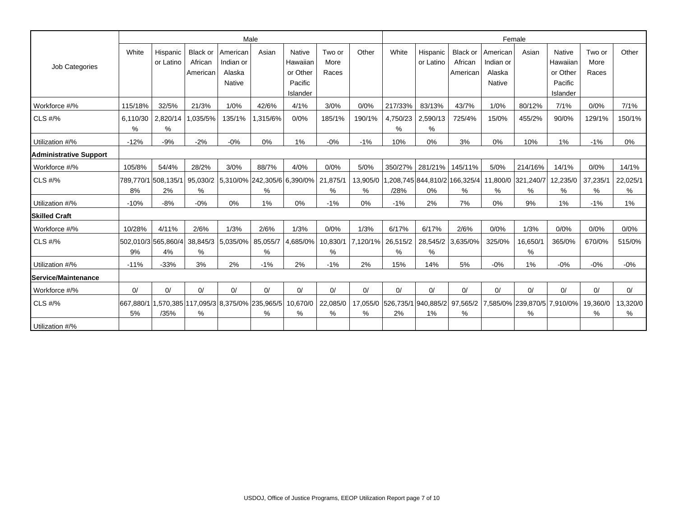|                        |               |                           |                                 |                                           | Male                                                  |                                                              |                         |               |                                    |                                    |                                        |                                           | Female                  |                                                              |                         |               |  |  |  |
|------------------------|---------------|---------------------------|---------------------------------|-------------------------------------------|-------------------------------------------------------|--------------------------------------------------------------|-------------------------|---------------|------------------------------------|------------------------------------|----------------------------------------|-------------------------------------------|-------------------------|--------------------------------------------------------------|-------------------------|---------------|--|--|--|
| Job Categories         | White         | Hispanic<br>or Latino     | Black or<br>African<br>American | American<br>Indian or<br>Alaska<br>Native | Asian                                                 | <b>Native</b><br>Hawaiian<br>or Other<br>Pacific<br>Islander | Two or<br>More<br>Races | Other         | White                              | Hispanic<br>or Latino              | <b>Black or</b><br>African<br>American | American<br>Indian or<br>Alaska<br>Native | Asian                   | <b>Native</b><br>Hawaiian<br>or Other<br>Pacific<br>Islander | Two or<br>More<br>Races | Other         |  |  |  |
| Workforce #/%          | 115/18%       | 32/5%                     | 21/3%                           | 1/0%                                      | 42/6%                                                 | 4/1%                                                         | 3/0%                    | 0/0%          | 217/33%                            | 83/13%                             | 43/7%                                  | 1/0%                                      | 80/12%                  | 7/1%                                                         | 0/0%                    | 7/1%          |  |  |  |
| <b>CLS #/%</b>         | 6,110/30<br>% | 2,820/14<br>%             | 1,035/5%                        | 135/1%                                    | 1,315/6%                                              | 0/0%                                                         | 185/1%                  | 190/1%        | 4,750/23<br>$\%$                   | 2,590/13<br>%                      | 725/4%                                 | 15/0%                                     | 455/2%                  | 90/0%                                                        | 129/1%                  | 150/1%        |  |  |  |
| Utilization #/%        | $-12%$        | $-9%$                     | $-2%$                           | $-0%$                                     | 0%                                                    | 1%                                                           | $-0%$                   | $-1%$         | 10%                                | 0%                                 | 3%                                     | 0%                                        | 10%                     | 1%                                                           | $-1%$                   | 0%            |  |  |  |
| Administrative Support |               |                           |                                 |                                           |                                                       |                                                              |                         |               |                                    |                                    |                                        |                                           |                         |                                                              |                         |               |  |  |  |
| Workforce #/%          | 105/8%        | 54/4%                     | 28/2%                           | 3/0%                                      | 88/7%                                                 | 4/0%                                                         | 0/0%                    | 5/0%          | 350/27%                            | 281/21%                            | 145/11%                                | 5/0%                                      | 214/16%                 | 14/1%                                                        | 0/0%                    | 14/1%         |  |  |  |
| CLS #/%                | 8%            | 789,770/1 508,135/1<br>2% | 95,030/2<br>%                   |                                           | 5,310/0% 242,305/6 6,390/0%<br>%                      |                                                              | 21,875/1<br>%           | 13,905/0<br>% | /28%                               | ,208,745 844,810/2 166,325/4<br>0% | %                                      | %                                         | 11,800/0 321,240/7<br>% | 12,235/0<br>$\%$                                             | 37,235/1<br>%           | 22,025/1<br>% |  |  |  |
| Utilization #/%        | $-10%$        | $-8%$                     | $-0%$                           | $0\%$                                     | $1\%$                                                 | 0%                                                           | $-1%$                   | $0\%$         | $-1%$                              | 2%                                 | 7%                                     | 0%                                        | 9%                      | 1%                                                           | $-1%$                   | 1%            |  |  |  |
| <b>Skilled Craft</b>   |               |                           |                                 |                                           |                                                       |                                                              |                         |               |                                    |                                    |                                        |                                           |                         |                                                              |                         |               |  |  |  |
| Workforce #/%          | 10/28%        | 4/11%                     | 2/6%                            | 1/3%                                      | 2/6%                                                  | 1/3%                                                         | 0/0%                    | 1/3%          | 6/17%                              | 6/17%                              | 2/6%                                   | 0/0%                                      | 1/3%                    | 0/0%                                                         | 0/0%                    | 0/0%          |  |  |  |
| <b>CLS #/%</b>         | 9%            | 502,010/3 565,860/4<br>4% | %                               | 38,845/3 5,035/0%                         | 85,055/7<br>$\%$                                      | 4,685/0%                                                     | 10,830/1<br>%           | 7,120/1%      | 26,515/2<br>%                      | 28,545/2<br>%                      | 3,635/0%                               | 325/0%                                    | 16,650/1<br>%           | 365/0%                                                       | 670/0%                  | 515/0%        |  |  |  |
| Utilization #/%        | $-11%$        | $-33%$                    | 3%                              | 2%                                        | $-1%$                                                 | 2%                                                           | $-1%$                   | 2%            | 15%                                | 14%                                | 5%                                     | $-0%$                                     | 1%                      | $-0%$                                                        | $-0%$                   | $-0%$         |  |  |  |
| Service/Maintenance    |               |                           |                                 |                                           |                                                       |                                                              |                         |               |                                    |                                    |                                        |                                           |                         |                                                              |                         |               |  |  |  |
| Workforce #/%          | 0/            | 0/                        | $\Omega$                        | 0/                                        | 0/                                                    | 0/                                                           | 0/                      | 0/            | 0/                                 | 0/                                 | 0/                                     | 0/                                        | 0/                      | 0/                                                           | 0/                      | 0/            |  |  |  |
| <b>CLS #/%</b>         | 5%            | /35%                      | %                               |                                           | 667,880/1 1,570,385 117,095/3 8,375/0% 235,965/5<br>% | 10,670/0<br>%                                                | 22,085/0<br>%           | %             | 17,055/0 526,735/1 940,885/2<br>2% | $1\%$                              | 97,565/2<br>%                          |                                           | %                       | 7,585/0% 239,870/5 7,910/0%                                  | 19,360/0<br>%           | 13,320/0<br>% |  |  |  |
| Utilization #/%        |               |                           |                                 |                                           |                                                       |                                                              |                         |               |                                    |                                    |                                        |                                           |                         |                                                              |                         |               |  |  |  |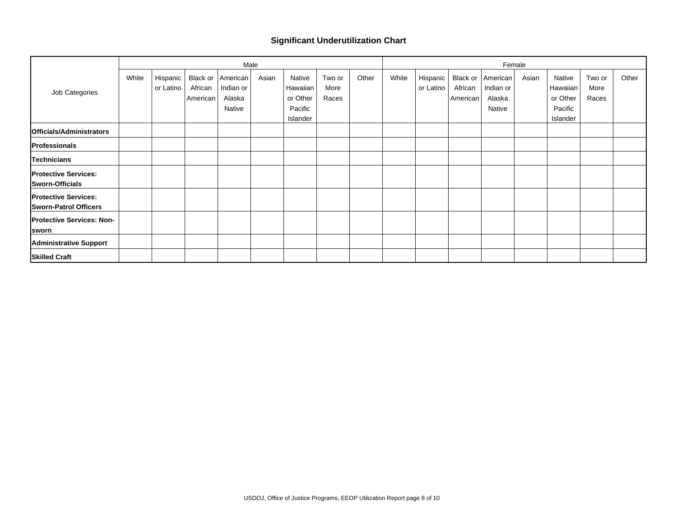#### **Significant Underutilization Chart**

|                                                             |       |                       |                     |                                                    | Male  |                                                       |                         |       |       |                       |                                 |                                           | Female |                                                       |                         |       |
|-------------------------------------------------------------|-------|-----------------------|---------------------|----------------------------------------------------|-------|-------------------------------------------------------|-------------------------|-------|-------|-----------------------|---------------------------------|-------------------------------------------|--------|-------------------------------------------------------|-------------------------|-------|
| Job Categories                                              | White | Hispanic<br>or Latino | African<br>American | Black or American<br>Indian or<br>Alaska<br>Native | Asian | Native<br>Hawaiian<br>or Other<br>Pacific<br>Islander | Two or<br>More<br>Races | Other | White | Hispanic<br>or Latino | Black or<br>African<br>American | American<br>Indian or<br>Alaska<br>Native | Asian  | Native<br>Hawaiian<br>or Other<br>Pacific<br>Islander | Two or<br>More<br>Races | Other |
| Officials/Administrators                                    |       |                       |                     |                                                    |       |                                                       |                         |       |       |                       |                                 |                                           |        |                                                       |                         |       |
| Professionals                                               |       |                       |                     |                                                    |       |                                                       |                         |       |       |                       |                                 |                                           |        |                                                       |                         |       |
| Technicians                                                 |       |                       |                     |                                                    |       |                                                       |                         |       |       |                       |                                 |                                           |        |                                                       |                         |       |
| <b>Protective Services:</b><br>Sworn-Officials              |       |                       |                     |                                                    |       |                                                       |                         |       |       |                       |                                 |                                           |        |                                                       |                         |       |
| <b>Protective Services:</b><br><b>Sworn-Patrol Officers</b> |       |                       |                     |                                                    |       |                                                       |                         |       |       |                       |                                 |                                           |        |                                                       |                         |       |
| <b>Protective Services: Non-</b><br><b>Sworn</b>            |       |                       |                     |                                                    |       |                                                       |                         |       |       |                       |                                 |                                           |        |                                                       |                         |       |
| <b>Administrative Support</b>                               |       |                       |                     |                                                    |       |                                                       |                         |       |       |                       |                                 |                                           |        |                                                       |                         |       |
| <b>Skilled Craft</b>                                        |       |                       |                     |                                                    |       |                                                       |                         |       |       |                       |                                 |                                           |        |                                                       |                         |       |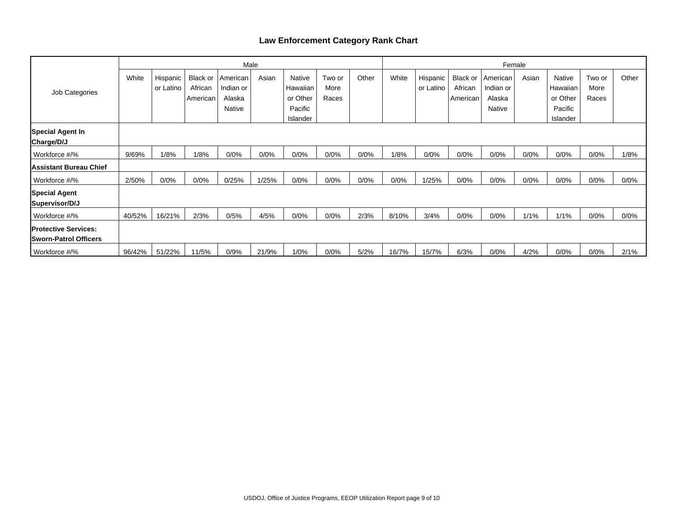### **Law Enforcement Category Rank Chart**

|                                                              |        |                       |                                 |                                           | Male  |                                           |                         |       | Female |                       |                                 |                                           |       |                                           |                         |       |
|--------------------------------------------------------------|--------|-----------------------|---------------------------------|-------------------------------------------|-------|-------------------------------------------|-------------------------|-------|--------|-----------------------|---------------------------------|-------------------------------------------|-------|-------------------------------------------|-------------------------|-------|
| Job Categories                                               | White  | Hispanic<br>or Latino | Black or<br>African<br>American | American<br>Indian or<br>Alaska<br>Native | Asian | Native<br>Hawaiian<br>or Other<br>Pacific | Two or<br>More<br>Races | Other | White  | Hispanic<br>or Latino | Black or<br>African<br>American | American<br>Indian or<br>Alaska<br>Native | Asian | Native<br>Hawaiian<br>or Other<br>Pacific | Two or<br>More<br>Races | Other |
| Special Agent In<br>Charge/D/J                               |        |                       |                                 |                                           |       | Islander                                  |                         |       |        |                       |                                 |                                           |       | Islander                                  |                         |       |
| Workforce #/%                                                | 9/69%  | 1/8%                  | 1/8%                            | 0/0%                                      | 0/0%  | 0/0%                                      | 0/0%                    | 0/0%  | 1/8%   | 0/0%                  | 0/0%                            | 0/0%                                      | 0/0%  | 0/0%                                      | 0/0%                    | 1/8%  |
| Assistant Bureau Chief                                       |        |                       |                                 |                                           |       |                                           |                         |       |        |                       |                                 |                                           |       |                                           |                         |       |
| Workforce #/%                                                | 2/50%  | 0/0%                  | 0/0%                            | 0/25%                                     | 1/25% | 0/0%                                      | 0/0%                    | 0/0%  | 0/0%   | 1/25%                 | 0/0%                            | 0/0%                                      | 0/0%  | 0/0%                                      | 0/0%                    | 0/0%  |
| Special Agent<br>Supervisor/D/J                              |        |                       |                                 |                                           |       |                                           |                         |       |        |                       |                                 |                                           |       |                                           |                         |       |
| Workforce #/%                                                | 40/52% | 16/21%                | 2/3%                            | 0/5%                                      | 4/5%  | 0/0%                                      | 0/0%                    | 2/3%  | 8/10%  | 3/4%                  | 0/0%                            | 0/0%                                      | 1/1%  | 1/1%                                      | 0/0%                    | 0/0%  |
| <b>IProtective Services:</b><br><b>Sworn-Patrol Officers</b> |        |                       |                                 |                                           |       |                                           |                         |       |        |                       |                                 |                                           |       |                                           |                         |       |
| Workforce #/%                                                | 96/42% | 51/22%                | 11/5%                           | 0/9%                                      | 21/9% | 1/0%                                      | 0/0%                    | 5/2%  | 16/7%  | 15/7%                 | 6/3%                            | 0/0%                                      | 4/2%  | 0/0%                                      | 0/0%                    | 2/1%  |